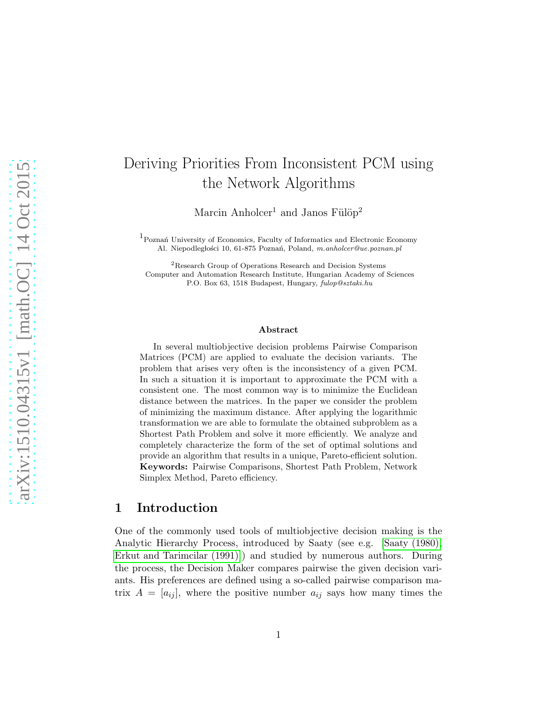# Deriving Priorities From Inconsistent PCM using the Network Algorithms

Marcin Anholcer<sup>1</sup> and Janos Fülöp<sup>2</sup>

 $1$  Poznań University of Economics, Faculty of Informatics and Electronic Economy Al. Niepodległości 10, 61-875 Poznań, Poland, m.anholcer@ue.poznan.pl

<sup>2</sup>Research Group of Operations Research and Decision Systems Computer and Automation Research Institute, Hungarian Academy of Sciences P.O. Box 63, 1518 Budapest, Hungary, fulop@sztaki.hu

#### Abstract

In several multiobjective decision problems Pairwise Comparison Matrices (PCM) are applied to evaluate the decision variants. The problem that arises very often is the inconsistency of a given PCM. In such a situation it is important to approximate the PCM with a consistent one. The most common way is to minimize the Euclidean distance between the matrices. In the paper we consider the problem of minimizing the maximum distance. After applying the logarithmic transformation we are able to formulate the obtained subproblem as a Shortest Path Problem and solve it more efficiently. We analyze and completely characterize the form of the set of optimal solutions and provide an algorithm that results in a unique, Pareto-efficient solution. Keywords: Pairwise Comparisons, Shortest Path Problem, Network Simplex Method, Pareto efficiency.

## 1 Introduction

One of the commonly used tools of multiobjective decision making is the Analytic Hierarchy Process, introduced by Saaty (see e.g. [\[Saaty \(1980\),](#page-23-0) [Erkut and Tarimcilar \(1991\)\]](#page-22-0)) and studied by numerous authors. During the process, the Decision Maker compares pairwise the given decision variants. His preferences are defined using a so-called pairwise comparison matrix  $A = [a_{ij}]$ , where the positive number  $a_{ij}$  says how many times the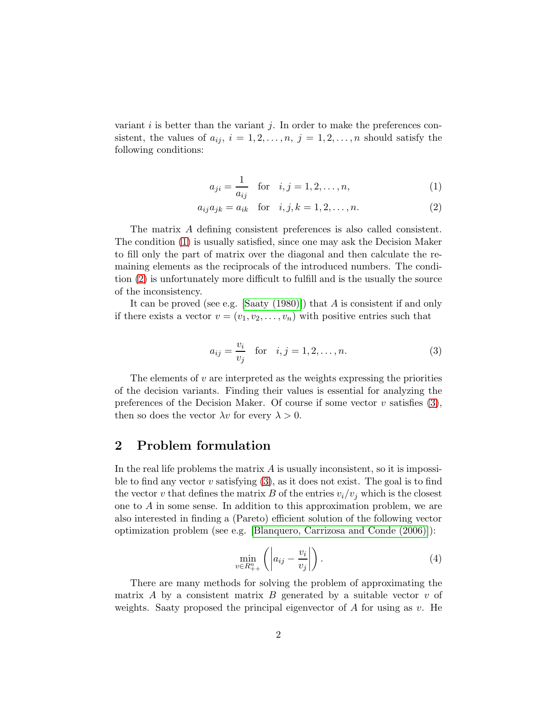variant i is better than the variant j. In order to make the preferences consistent, the values of  $a_{ij}$ ,  $i = 1, 2, \ldots, n$ ,  $j = 1, 2, \ldots, n$  should satisfy the following conditions:

<span id="page-1-0"></span>
$$
a_{ji} = \frac{1}{a_{ij}}
$$
 for  $i, j = 1, 2, ..., n,$  (1)

$$
a_{ij}a_{jk} = a_{ik} \text{ for } i, j, k = 1, 2, ..., n.
$$
 (2)

The matrix A defining consistent preferences is also called consistent. The condition [\(1\)](#page-1-0) is usually satisfied, since one may ask the Decision Maker to fill only the part of matrix over the diagonal and then calculate the remaining elements as the reciprocals of the introduced numbers. The condition [\(2\)](#page-1-0) is unfortunately more difficult to fulfill and is the usually the source of the inconsistency.

It can be proved (see e.g. [Saaty  $(1980)$ ]) that A is consistent if and only if there exists a vector  $v = (v_1, v_2, \dots, v_n)$  with positive entries such that

<span id="page-1-1"></span>
$$
a_{ij} = \frac{v_i}{v_j}
$$
 for  $i, j = 1, 2, ..., n$ . (3)

The elements of  $v$  are interpreted as the weights expressing the priorities of the decision variants. Finding their values is essential for analyzing the preferences of the Decision Maker. Of course if some vector  $v$  satisfies [\(3\)](#page-1-1), then so does the vector  $\lambda v$  for every  $\lambda > 0$ .

# 2 Problem formulation

In the real life problems the matrix  $A$  is usually inconsistent, so it is impossible to find any vector  $v$  satisfying  $(3)$ , as it does not exist. The goal is to find the vector v that defines the matrix B of the entries  $v_i/v_j$  which is the closest one to A in some sense. In addition to this approximation problem, we are also interested in finding a (Pareto) efficient solution of the following vector optimization problem (see e.g. [\[Blanquero, Carrizosa and Conde \(2006\)\]](#page-21-0)):

<span id="page-1-2"></span>
$$
\min_{v \in R_{++}^n} \left( \left| a_{ij} - \frac{v_i}{v_j} \right| \right). \tag{4}
$$

There are many methods for solving the problem of approximating the matrix A by a consistent matrix B generated by a suitable vector  $v$  of weights. Saaty proposed the principal eigenvector of  $A$  for using as  $v$ . He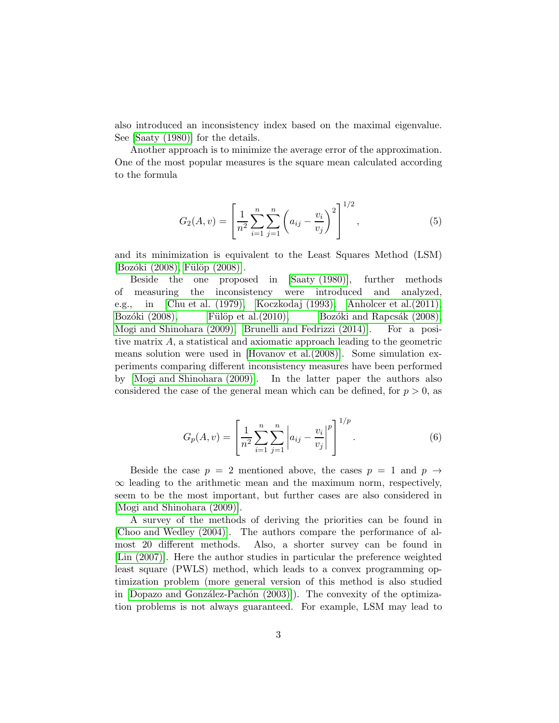also introduced an inconsistency index based on the maximal eigenvalue. See [\[Saaty \(1980\)\]](#page-23-0) for the details.

Another approach is to minimize the average error of the approximation. One of the most popular measures is the square mean calculated according to the formula

$$
G_2(A, v) = \left[\frac{1}{n^2} \sum_{i=1}^n \sum_{j=1}^n \left(a_{ij} - \frac{v_i}{v_j}\right)^2\right]^{1/2},
$$
\n(5)

and its minimization is equivalent to the Least Squares Method (LSM)  $[Bozóki (2008), Fülöp (2008)].$ 

Beside the one proposed in [\[Saaty \(1980\)\]](#page-23-0), further methods of measuring the inconsistency were introduced and analyzed, e.g., in [\[Chu et al. \(1979\),](#page-22-1) [Koczkodaj \(1993\),](#page-23-2) [Anholcer et al.\(2011\),](#page-21-2) Bozóki (2008), Fülöp et al. (2010), Bozóki and Rapcsák (2008), [Mogi and Shinohara \(2009\),](#page-23-4) [Brunelli and Fedrizzi \(2014\)\]](#page-22-3). For a positive matrix A, a statistical and axiomatic approach leading to the geometric means solution were used in [\[Hovanov et al.\(2008\)\]](#page-23-5). Some simulation experiments comparing different inconsistency measures have been performed by [\[Mogi and Shinohara \(2009\)\]](#page-23-4). In the latter paper the authors also considered the case of the general mean which can be defined, for  $p > 0$ , as

$$
G_p(A, v) = \left[\frac{1}{n^2} \sum_{i=1}^n \sum_{j=1}^n \left| a_{ij} - \frac{v_i}{v_j} \right|^p \right]^{1/p}.
$$
 (6)

Beside the case  $p = 2$  mentioned above, the cases  $p = 1$  and  $p \rightarrow$  $\infty$  leading to the arithmetic mean and the maximum norm, respectively, seem to be the most important, but further cases are also considered in [\[Mogi and Shinohara \(2009\)\]](#page-23-4).

A survey of the methods of deriving the priorities can be found in [\[Choo and Wedley \(2004\)\]](#page-22-4). The authors compare the performance of almost 20 different methods. Also, a shorter survey can be found in [\[Lin \(2007\)\]](#page-23-6). Here the author studies in particular the preference weighted least square (PWLS) method, which leads to a convex programming optimization problem (more general version of this method is also studied in  $[Dopazo]$  and González-Pachón  $(2003)]$ ). The convexity of the optimization problems is not always guaranteed. For example, LSM may lead to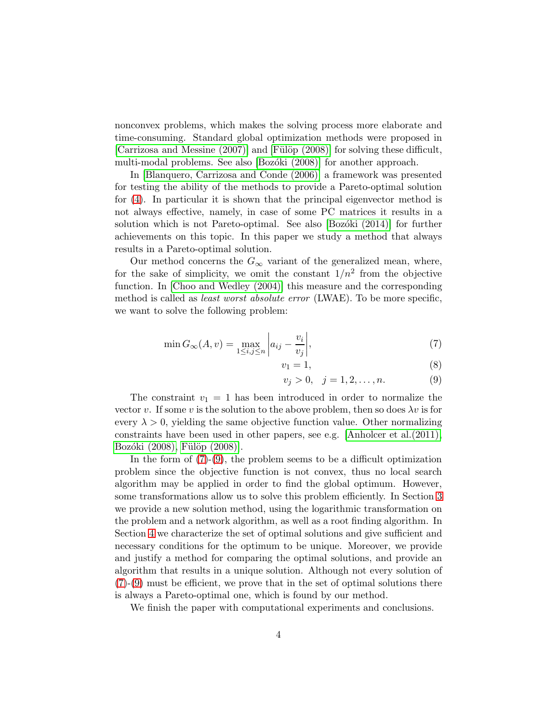nonconvex problems, which makes the solving process more elaborate and time-consuming. Standard global optimization methods were proposed in [\[Carrizosa and Messine \(2007\)\]](#page-22-6) and [Fülöp (2008)] for solving these difficult, multi-modal problems. See also [Bozóki (2008)] for another approach.

In [\[Blanquero, Carrizosa and Conde \(2006\)\]](#page-21-0) a framework was presented for testing the ability of the methods to provide a Pareto-optimal solution for [\(4\)](#page-1-2). In particular it is shown that the principal eigenvector method is not always effective, namely, in case of some PC matrices it results in a solution which is not Pareto-optimal. See also  $\left[$ Bozóki  $(2014)\right]$  for further achievements on this topic. In this paper we study a method that always results in a Pareto-optimal solution.

Our method concerns the  $G_{\infty}$  variant of the generalized mean, where, for the sake of simplicity, we omit the constant  $1/n^2$  from the objective function. In [\[Choo and Wedley \(2004\)\]](#page-22-4) this measure and the corresponding method is called as *least worst absolute error* (LWAE). To be more specific, we want to solve the following problem:

<span id="page-3-0"></span>
$$
\min G_{\infty}(A, v) = \max_{1 \le i, j \le n} \left| a_{ij} - \frac{v_i}{v_j} \right|,
$$
\n<sup>(7)</sup>

$$
v_1 = 1,\t\t(8)
$$

$$
v_j > 0, \quad j = 1, 2, \dots, n. \tag{9}
$$

The constraint  $v_1 = 1$  has been introduced in order to normalize the vector v. If some v is the solution to the above problem, then so does  $\lambda v$  is for every  $\lambda > 0$ , yielding the same objective function value. Other normalizing constraints have been used in other papers, see e.g. [\[Anholcer et al.\(2011\),](#page-21-2) Bozóki (2008), Fülöp (2008)].

In the form of  $(7)-(9)$  $(7)-(9)$ , the problem seems to be a difficult optimization problem since the objective function is not convex, thus no local search algorithm may be applied in order to find the global optimum. However, some transformations allow us to solve this problem efficiently. In Section [3](#page-4-0) we provide a new solution method, using the logarithmic transformation on the problem and a network algorithm, as well as a root finding algorithm. In Section [4](#page-11-0) we characterize the set of optimal solutions and give sufficient and necessary conditions for the optimum to be unique. Moreover, we provide and justify a method for comparing the optimal solutions, and provide an algorithm that results in a unique solution. Although not every solution of  $(7)-(9)$  $(7)-(9)$  $(7)-(9)$  must be efficient, we prove that in the set of optimal solutions there is always a Pareto-optimal one, which is found by our method.

We finish the paper with computational experiments and conclusions.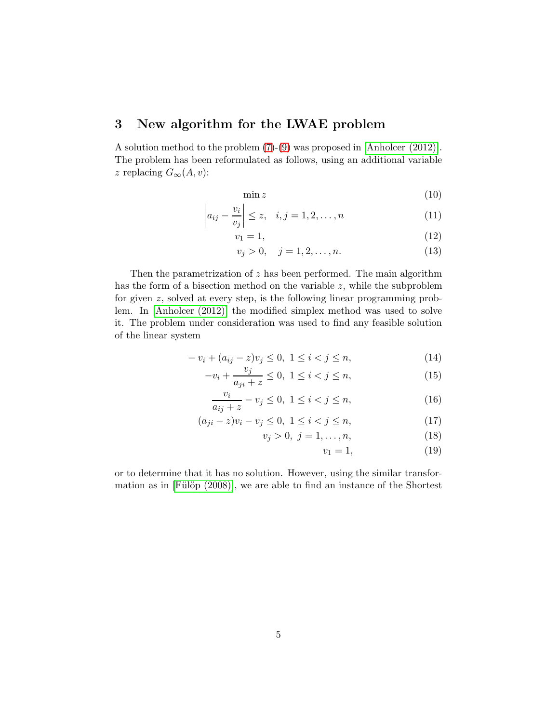# <span id="page-4-0"></span>3 New algorithm for the LWAE problem

A solution method to the problem [\(7\)](#page-3-0)-[\(9\)](#page-3-0) was proposed in [\[Anholcer \(2012\)\]](#page-21-3). The problem has been reformulated as follows, using an additional variable *z* replacing  $G_{\infty}(A, v)$ :

<span id="page-4-2"></span>
$$
\min z \tag{10}
$$

$$
\left| a_{ij} - \frac{v_i}{v_j} \right| \le z, \quad i, j = 1, 2, \dots, n \tag{11}
$$

$$
v_1 = 1,\t\t(12)
$$

$$
v_j > 0, \quad j = 1, 2, \dots, n. \tag{13}
$$

Then the parametrization of  $z$  has been performed. The main algorithm has the form of a bisection method on the variable  $z$ , while the subproblem for given z, solved at every step, is the following linear programming problem. In [\[Anholcer \(2012\)\]](#page-21-3) the modified simplex method was used to solve it. The problem under consideration was used to find any feasible solution of the linear system

<span id="page-4-1"></span>
$$
-v_i + (a_{ij} - z)v_j \le 0, \ 1 \le i < j \le n,\tag{14}
$$

$$
-v_i + \frac{v_j}{a_{ji} + z} \le 0, \ 1 \le i < j \le n,\tag{15}
$$

$$
\frac{v_i}{a_{ij} + z} - v_j \le 0, \ 1 \le i < j \le n,\tag{16}
$$

$$
(a_{ji} - z)v_i - v_j \le 0, \ 1 \le i < j \le n,\tag{17}
$$

$$
v_j > 0, \ j = 1, \dots, n,\tag{18}
$$

$$
v_1 = 1,\t\t(19)
$$

or to determine that it has no solution. However, using the similar transformation as in  $[Fill\ddot{\circ}p(2008)]$ , we are able to find an instance of the Shortest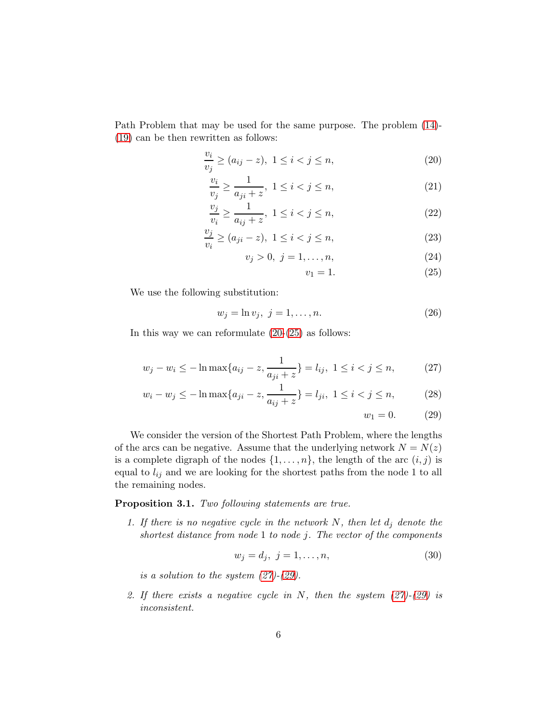Path Problem that may be used for the same purpose. The problem [\(14\)](#page-4-1)- [\(19\)](#page-4-1) can be then rewritten as follows:

<span id="page-5-0"></span>
$$
\frac{v_i}{v_j} \ge (a_{ij} - z), \ 1 \le i < j \le n,\tag{20}
$$

$$
\frac{v_i}{v_j} \ge \frac{1}{a_{ji} + z}, \ 1 \le i < j \le n,\tag{21}
$$

$$
\frac{v_j}{v_i} \ge \frac{1}{a_{ij} + z}, \ 1 \le i < j \le n,\tag{22}
$$

$$
\frac{v_j}{v_i} \ge (a_{ji} - z), \ 1 \le i < j \le n,\tag{23}
$$

$$
v_j > 0, \ j = 1, \dots, n,\tag{24}
$$

$$
v_1 = 1.\t\t(25)
$$

We use the following substitution:

$$
w_j = \ln v_j, \ j = 1, \dots, n. \tag{26}
$$

In this way we can reformulate  $(20-(25))$  as follows:

<span id="page-5-1"></span>
$$
w_j - w_i \le -\ln \max\{a_{ij} - z, \frac{1}{a_{ji} + z}\} = l_{ij}, \ 1 \le i < j \le n,\tag{27}
$$

$$
w_i - w_j \le -\ln \max\{a_{ji} - z, \frac{1}{a_{ij} + z}\} = l_{ji}, \ 1 \le i < j \le n,\tag{28}
$$

$$
w_1 = 0.\t(29)
$$

We consider the version of the Shortest Path Problem, where the lengths of the arcs can be negative. Assume that the underlying network  $N = N(z)$ is a complete digraph of the nodes  $\{1, \ldots, n\}$ , the length of the arc  $(i, j)$  is equal to  $l_{ij}$  and we are looking for the shortest paths from the node 1 to all the remaining nodes.

#### <span id="page-5-2"></span>Proposition 3.1. *Two following statements are true.*

*1. If there is no negative cycle in the network*  $N$ *, then let*  $d_j$  *denote the shortest distance from node* 1 *to node* j*. The vector of the components*

$$
w_j = d_j, \ j = 1, \dots, n,
$$
\n(30)

*is a solution to the system [\(27\)](#page-5-1)-[\(29\)](#page-5-1).*

*2. If there exists a negative cycle in* N*, then the system [\(27\)](#page-5-1)-[\(29\)](#page-5-1) is inconsistent.*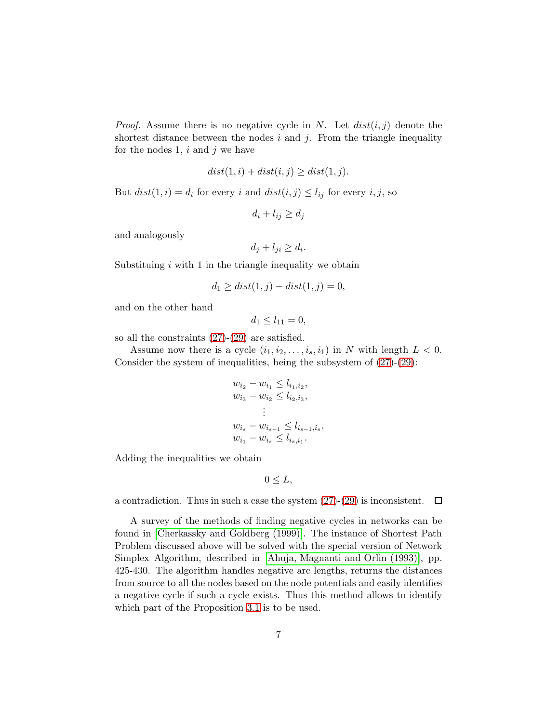*Proof.* Assume there is no negative cycle in N. Let  $dist(i, j)$  denote the shortest distance between the nodes  $i$  and  $j$ . From the triangle inequality for the nodes 1,  $i$  and  $j$  we have

$$
dist(1, i) + dist(i, j) \ge dist(1, j).
$$

But  $dist(1, i) = d_i$  for every i and  $dist(i, j) \leq l_{ij}$  for every i, j, so

 $d_i + l_{ij} \geq d_j$ 

and analogously

$$
d_j + l_{ji} \ge d_i.
$$

Substituing  $i$  with 1 in the triangle inequality we obtain

$$
d_1 \ge dist(1, j) - dist(1, j) = 0,
$$

and on the other hand

$$
d_1\leq l_{11}=0,
$$

so all the constraints [\(27\)](#page-5-1)-[\(29\)](#page-5-1) are satisfied.

Assume now there is a cycle  $(i_1, i_2, \ldots, i_s, i_1)$  in N with length  $L < 0$ . Consider the system of inequalities, being the subsystem of [\(27\)](#page-5-1)-[\(29\)](#page-5-1):

$$
w_{i_2} - w_{i_1} \le l_{i_1, i_2},
$$
  
\n
$$
w_{i_3} - w_{i_2} \le l_{i_2, i_3},
$$
  
\n
$$
\vdots
$$
  
\n
$$
w_{i_s} - w_{i_{s-1}} \le l_{i_{s-1}, i_s},
$$
  
\n
$$
w_{i_1} - w_{i_s} \le l_{i_s, i_1}.
$$

Adding the inequalities we obtain

$$
0\leq L,
$$

a contradiction. Thus in such a case the system [\(27\)](#page-5-1)-[\(29\)](#page-5-1) is inconsistent.  $\Box$ 

A survey of the methods of finding negative cycles in networks can be found in [\[Cherkassky and Goldberg \(1999\)\]](#page-22-8). The instance of Shortest Path Problem discussed above will be solved with the special version of Network Simplex Algorithm, described in [\[Ahuja, Magnanti and Orlin](#page-21-4) (1993)], pp. 425-430. The algorithm handles negative arc lengths, returns the distances from source to all the nodes based on the node potentials and easily identifies a negative cycle if such a cycle exists. Thus this method allows to identify which part of the Proposition [3.1](#page-5-2) is to be used.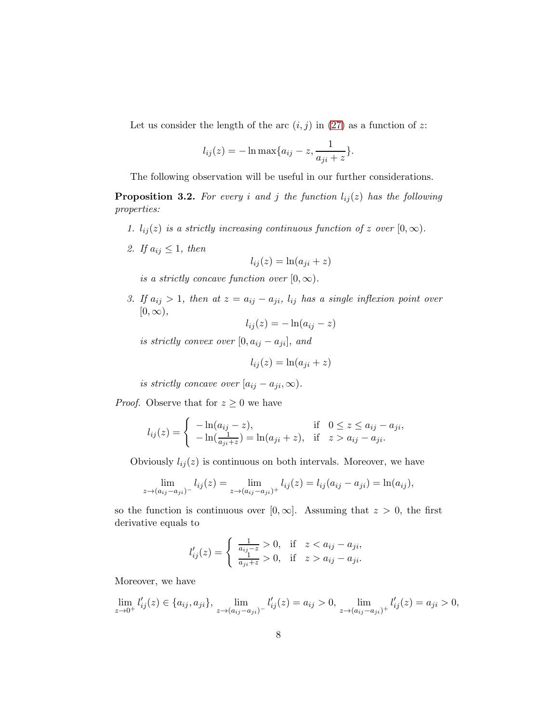Let us consider the length of the arc  $(i, j)$  in  $(27)$  as a function of z:

$$
l_{ij}(z) = -\ln \max\{a_{ij} - z, \frac{1}{a_{ji} + z}\}.
$$

The following observation will be useful in our further considerations.

<span id="page-7-0"></span>**Proposition 3.2.** For every *i* and *j* the function  $l_{ij}(z)$  has the following *properties:*

- *1.*  $l_{ij}(z)$  *is a strictly increasing continuous function of* z *over*  $[0, \infty)$ *.*
- 2. If  $a_{ij} \leq 1$ , then

$$
l_{ij}(z) = \ln(a_{ji} + z)
$$

*is a strictly concave function over*  $[0, \infty)$ .

*3. If*  $a_{ij} > 1$ *, then at*  $z = a_{ij} - a_{ji}$ *,*  $l_{ij}$  *has a single inflexion point over*  $[0, \infty)$ ,

$$
l_{ij}(z) = -\ln(a_{ij} - z)
$$

*is strictly convex over*  $[0, a_{ij} - a_{ji}]$ *, and* 

$$
l_{ij}(z) = \ln(a_{ji} + z)
$$

*is strictly concave over*  $[a_{ij} - a_{ji}, \infty)$ *.* 

*Proof.* Observe that for  $z \geq 0$  we have

$$
l_{ij}(z) = \begin{cases} -\ln(a_{ij} - z), & \text{if } 0 \le z \le a_{ij} - a_{ji}, \\ -\ln(\frac{1}{a_{ji} + z}) = \ln(a_{ji} + z), & \text{if } z > a_{ij} - a_{ji}. \end{cases}
$$

Obviously  $l_{ij}(z)$  is continuous on both intervals. Moreover, we have

$$
\lim_{z \to (a_{ij} - a_{ji})^-} l_{ij}(z) = \lim_{z \to (a_{ij} - a_{ji})^+} l_{ij}(z) = l_{ij}(a_{ij} - a_{ji}) = \ln(a_{ij}),
$$

so the function is continuous over [0, ∞]. Assuming that  $z > 0$ , the first derivative equals to

$$
l'_{ij}(z) = \begin{cases} \frac{1}{a_{ij}-z} > 0, & \text{if } z < a_{ij} - a_{ji}, \\ \frac{1}{a_{ji}+z} > 0, & \text{if } z > a_{ij} - a_{ji}. \end{cases}
$$

Moreover, we have

$$
\lim_{z \to 0^+} l'_{ij}(z) \in \{a_{ij}, a_{ji}\}, \lim_{z \to (a_{ij} - a_{ji})^-} l'_{ij}(z) = a_{ij} > 0, \lim_{z \to (a_{ij} - a_{ji})^+} l'_{ij}(z) = a_{ji} > 0,
$$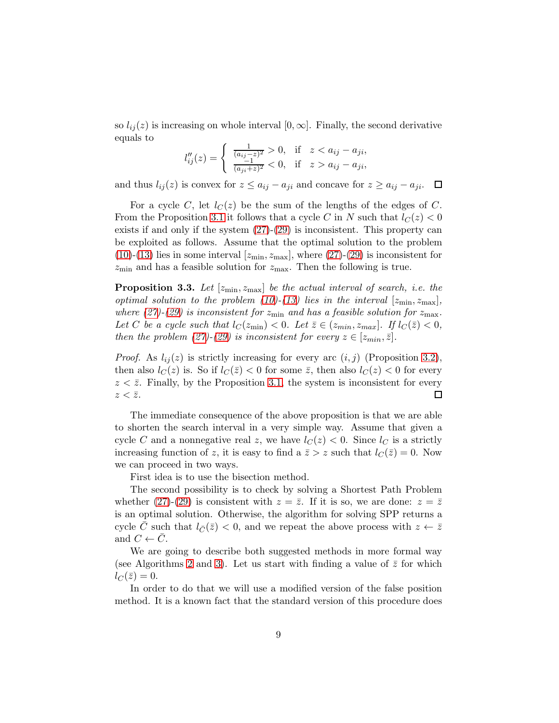so  $l_{ij}(z)$  is increasing on whole interval  $[0, \infty]$ . Finally, the second derivative equals to

$$
l''_{ij}(z) = \begin{cases} \frac{1}{(a_{ij}-z)^2} > 0, & \text{if } z < a_{ij} - a_{ji}, \\ \frac{-1}{(a_{ji}+z)^2} < 0, & \text{if } z > a_{ij} - a_{ji}, \end{cases}
$$

and thus  $l_{ij}(z)$  is convex for  $z \le a_{ij} - a_{ji}$  and concave for  $z \ge a_{ij} - a_{ji}$ .  $\Box$ 

For a cycle C, let  $l_C(z)$  be the sum of the lengths of the edges of C. From the Proposition [3.1](#page-5-2) it follows that a cycle C in N such that  $l_c(z) < 0$ exists if and only if the system [\(27\)](#page-5-1)-[\(29\)](#page-5-1) is inconsistent. This property can be exploited as follows. Assume that the optimal solution to the problem [\(10\)](#page-4-2)-[\(13\)](#page-4-2) lies in some interval  $[z_{\min}, z_{\max}]$ , where [\(27\)](#page-5-1)-[\(29\)](#page-5-1) is inconsistent for  $z_{\rm min}$  and has a feasible solution for  $z_{\rm max}$ . Then the following is true.

**Proposition 3.3.** Let  $[z_{\min}, z_{\max}]$  be the actual interval of search, i.e. the *optimal solution to the problem*  $(10)-(13)$  $(10)-(13)$  *lies in the interval*  $[z_{\min}, z_{\max}]$ *, where* [\(27\)](#page-5-1)–[\(29\)](#page-5-1) *is inconsistent for*  $z_{\min}$  *and has a feasible solution for*  $z_{\max}$ *.* Let C be a cycle such that  $l_C(z_{\min}) < 0$ . Let  $\overline{z} \in (z_{\min}, z_{\max}]$ . If  $l_C(\overline{z}) < 0$ , *then the problem* [\(27\)](#page-5-1)–[\(29\)](#page-5-1) *is inconsistent for every*  $z \in [z_{min}, \bar{z}]$ *.* 

*Proof.* As  $l_{ij}(z)$  is strictly increasing for every arc  $(i, j)$  (Proposition [3.2\)](#page-7-0), then also  $l_C(z)$  is. So if  $l_C(\overline{z}) < 0$  for some  $\overline{z}$ , then also  $l_C(z) < 0$  for every  $z < \bar{z}$ . Finally, by the Proposition [3.1,](#page-5-2) the system is inconsistent for every  $z < \overline{z}$ . □

The immediate consequence of the above proposition is that we are able to shorten the search interval in a very simple way. Assume that given a cycle C and a nonnegative real z, we have  $l<sub>C</sub>(z) < 0$ . Since  $l<sub>C</sub>$  is a strictly increasing function of z, it is easy to find a  $\bar{z} > z$  such that  $l_C(\bar{z}) = 0$ . Now we can proceed in two ways.

First idea is to use the bisection method.

The second possibility is to check by solving a Shortest Path Problem whether [\(27\)](#page-5-1)-[\(29\)](#page-5-1) is consistent with  $z = \overline{z}$ . If it is so, we are done:  $z = \overline{z}$ is an optimal solution. Otherwise, the algorithm for solving SPP returns a cycle C such that  $l_{\overline{C}}(\overline{z})$  < 0, and we repeat the above process with  $z \leftarrow \overline{z}$ and  $C \leftarrow C$ .

We are going to describe both suggested methods in more formal way (see Algorithms [2](#page-10-0) and [3\)](#page-11-1). Let us start with finding a value of  $\bar{z}$  for which  $l_C(\bar{z})=0.$ 

In order to do that we will use a modified version of the false position method. It is a known fact that the standard version of this procedure does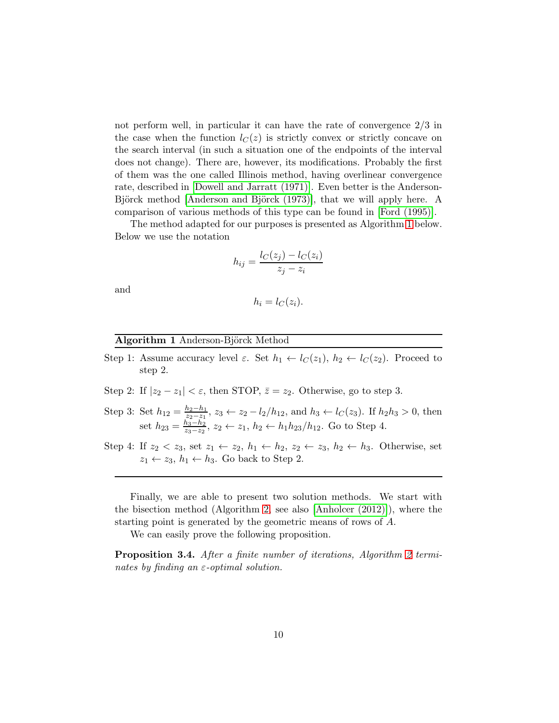not perform well, in particular it can have the rate of convergence 2/3 in the case when the function  $l<sub>C</sub>(z)$  is strictly convex or strictly concave on the search interval (in such a situation one of the endpoints of the interval does not change). There are, however, its modifications. Probably the first of them was the one called Illinois method, having overlinear convergence rate, described in [\[Dowell and Jarratt \(1971\)\]](#page-22-9). Even better is the Anderson-Björck method [Anderson and Björck (1973)], that we will apply here. A comparison of various methods of this type can be found in [\[Ford \(1995\)\]](#page-23-7).

The method adapted for our purposes is presented as Algorithm [1](#page-9-0) below. Below we use the notation

$$
h_{ij} = \frac{l_C(z_j) - l_C(z_i)}{z_j - z_i}
$$

and

$$
h_i = l_C(z_i).
$$

#### <span id="page-9-0"></span>Algorithm 1 Anderson-Björck Method

- Step 1: Assume accuracy level  $\varepsilon$ . Set  $h_1 \leftarrow l_C(z_1), h_2 \leftarrow l_C(z_2)$ . Proceed to step 2.
- Step 2: If  $|z_2 z_1| < \varepsilon$ , then STOP,  $\overline{z} = z_2$ . Otherwise, go to step 3.
- Step 3: Set  $h_{12} = \frac{h_2 h_1}{z_2 z_1}$  $\frac{h_2-h_1}{z_2-z_1}$ ,  $z_3 \leftarrow z_2 - l_2/h_{12}$ , and  $h_3 \leftarrow l_C(z_3)$ . If  $h_2h_3 > 0$ , then set  $h_{23} = \frac{h_3 - h_2}{z_3 - z_2}$  $\frac{h_3-h_2}{h_3-z_2}$ ,  $z_2 \leftarrow z_1$ ,  $h_2 \leftarrow h_1 h_{23}/h_{12}$ . Go to Step 4.
- Step 4: If  $z_2 < z_3$ , set  $z_1 \leftarrow z_2$ ,  $h_1 \leftarrow h_2$ ,  $z_2 \leftarrow z_3$ ,  $h_2 \leftarrow h_3$ . Otherwise, set  $z_1 \leftarrow z_3, h_1 \leftarrow h_3$ . Go back to Step 2.

Finally, we are able to present two solution methods. We start with the bisection method (Algorithm [2,](#page-10-0) see also [\[Anholcer \(2012\)\]](#page-21-3)), where the starting point is generated by the geometric means of rows of A.

We can easily prove the following proposition.

Proposition 3.4. *After a finite number of iterations, Algorithm [2](#page-10-0) terminates by finding an* ε*-optimal solution.*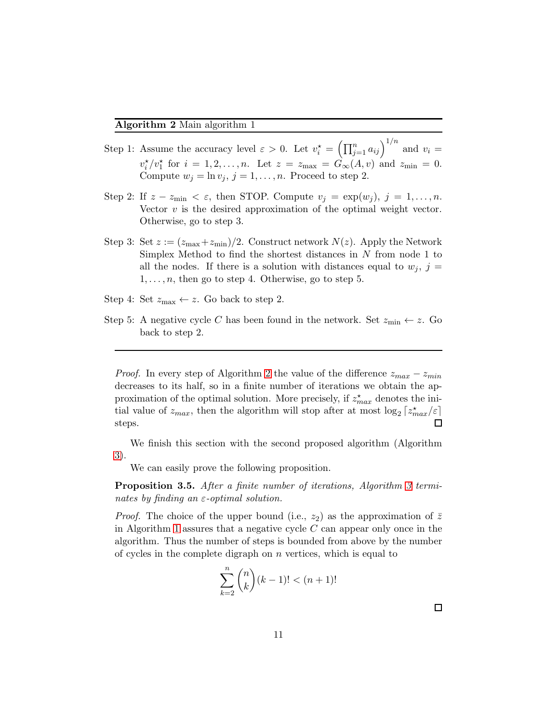- <span id="page-10-0"></span>Step 1: Assume the accuracy level  $\varepsilon > 0$ . Let  $v_i^* = (\prod_{j=1}^n a_{ij})^{1/n}$  and  $v_i =$  $v_i^{\star}/v_1^{\star}$  for  $i = 1, 2, \ldots, n$ . Let  $z = z_{\text{max}} = \hat{G}_{\infty}(A, v)$  and  $z_{\text{min}} = 0$ . Compute  $w_j = \ln v_j$ ,  $j = 1, ..., n$ . Proceed to step 2.
- Step 2: If  $z z_{\min} < \varepsilon$ , then STOP. Compute  $v_j = \exp(w_j)$ ,  $j = 1, \ldots, n$ . Vector  $v$  is the desired approximation of the optimal weight vector. Otherwise, go to step 3.
- Step 3: Set  $z := (z_{\text{max}}+z_{\text{min}})/2$ . Construct network  $N(z)$ . Apply the Network Simplex Method to find the shortest distances in N from node 1 to all the nodes. If there is a solution with distances equal to  $w_i$ ,  $j =$  $1, \ldots, n$ , then go to step 4. Otherwise, go to step 5.
- Step 4: Set  $z_{\text{max}} \leftarrow z$ . Go back to step 2.
- Step 5: A negative cycle C has been found in the network. Set  $z_{\text{min}} \leftarrow z$ . Go back to step 2.

*Proof.* In every step of Algorithm [2](#page-10-0) the value of the difference  $z_{max} - z_{min}$ decreases to its half, so in a finite number of iterations we obtain the approximation of the optimal solution. More precisely, if  $z_{max}^{\star}$  denotes the initial value of  $z_{max}$ , then the algorithm will stop after at most  $\log_2\left[z^\star_{max}/\varepsilon\right]$  $\Box$ steps.

We finish this section with the second proposed algorithm (Algorithm [3\)](#page-11-1).

We can easily prove the following proposition.

Proposition 3.5. *After a finite number of iterations, Algorithm [3](#page-11-1) terminates by finding an* ε*-optimal solution.*

*Proof.* The choice of the upper bound (i.e.,  $z_2$ ) as the approximation of  $\bar{z}$ in Algorithm [1](#page-9-0) assures that a negative cycle  $C$  can appear only once in the algorithm. Thus the number of steps is bounded from above by the number of cycles in the complete digraph on  $n$  vertices, which is equal to

$$
\sum_{k=2}^{n} \binom{n}{k} (k-1)! < (n+1)!
$$

 $\Box$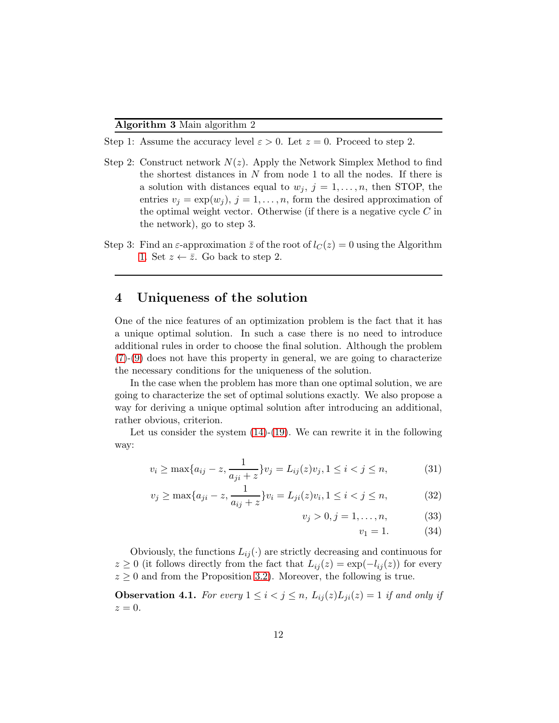- <span id="page-11-1"></span>Step 1: Assume the accuracy level  $\varepsilon > 0$ . Let  $z = 0$ . Proceed to step 2.
- Step 2: Construct network  $N(z)$ . Apply the Network Simplex Method to find the shortest distances in  $N$  from node 1 to all the nodes. If there is a solution with distances equal to  $w_j$ ,  $j = 1, \ldots, n$ , then STOP, the entries  $v_j = \exp(w_j)$ ,  $j = 1, ..., n$ , form the desired approximation of the optimal weight vector. Otherwise (if there is a negative cycle  $C$  in the network), go to step 3.
- Step 3: Find an  $\varepsilon$ -approximation  $\overline{z}$  of the root of  $l_C(z) = 0$  using the Algorithm [1.](#page-9-0) Set  $z \leftarrow \overline{z}$ . Go back to step 2.

# <span id="page-11-0"></span>4 Uniqueness of the solution

One of the nice features of an optimization problem is the fact that it has a unique optimal solution. In such a case there is no need to introduce additional rules in order to choose the final solution. Although the problem  $(7)-(9)$  $(7)-(9)$  $(7)-(9)$  does not have this property in general, we are going to characterize the necessary conditions for the uniqueness of the solution.

In the case when the problem has more than one optimal solution, we are going to characterize the set of optimal solutions exactly. We also propose a way for deriving a unique optimal solution after introducing an additional, rather obvious, criterion.

Let us consider the system  $(14)-(19)$  $(14)-(19)$ . We can rewrite it in the following way:

<span id="page-11-2"></span>
$$
v_i \ge \max\{a_{ij} - z, \frac{1}{a_{ji} + z}\} v_j = L_{ij}(z)v_j, 1 \le i < j \le n,\tag{31}
$$

$$
v_j \ge \max\{a_{ji} - z, \frac{1}{a_{ij} + z}\} v_i = L_{ji}(z)v_i, 1 \le i < j \le n,\tag{32}
$$

$$
v_j > 0, j = 1, \dots, n,\tag{33}
$$

 $v_1 = 1.$  (34)

Obviously, the functions  $L_{ij}(\cdot)$  are strictly decreasing and continuous for  $z \geq 0$  (it follows directly from the fact that  $L_{ij}(z) = \exp(-l_{ij}(z))$  for every  $z \geq 0$  and from the Proposition [3.2\)](#page-7-0). Moreover, the following is true.

<span id="page-11-3"></span>**Observation 4.1.** For every  $1 \leq i < j \leq n$ ,  $L_{ij}(z)L_{ji}(z) = 1$  if and only if  $z=0.$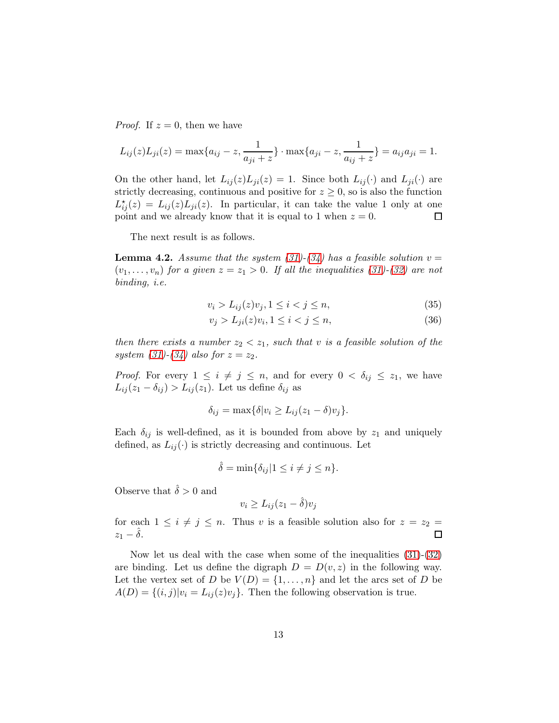*Proof.* If  $z = 0$ , then we have

$$
L_{ij}(z)L_{ji}(z) = \max\{a_{ij} - z, \frac{1}{a_{ji} + z}\}\cdot \max\{a_{ji} - z, \frac{1}{a_{ij} + z}\} = a_{ij}a_{ji} = 1.
$$

On the other hand, let  $L_{ij}(z)L_{ji}(z) = 1$ . Since both  $L_{ij}(\cdot)$  and  $L_{ji}(\cdot)$  are strictly decreasing, continuous and positive for  $z \geq 0$ , so is also the function  $L_{ij}^{\star}(z) = L_{ij}(z)L_{ji}(z)$ . In particular, it can take the value 1 only at one point and we already know that it is equal to 1 when  $z = 0$ . 口

The next result is as follows.

**Lemma 4.2.** *Assume that the system [\(31\)](#page-11-2)* $-$ [\(34\)](#page-11-2) *has a feasible solution*  $v =$  $(v_1, \ldots, v_n)$  *for a given*  $z = z_1 > 0$ *. If all the inequalities [\(31\)](#page-11-2)-*[\(32\)](#page-11-2) *are not binding, i.e.*

$$
v_i > L_{ij}(z)v_j, 1 \le i < j \le n,\tag{35}
$$

$$
v_j > L_{ji}(z)v_i, 1 \le i < j \le n,\tag{36}
$$

*then there exists a number*  $z_2 < z_1$ *, such that* v *is a feasible solution of the system* [\(31\)](#page-11-2)–[\(34\)](#page-11-2) also for  $z = z_2$ .

*Proof.* For every  $1 \leq i \neq j \leq n$ , and for every  $0 < \delta_{ij} \leq z_1$ , we have  $L_{ij}(z_1 - \delta_{ij}) > L_{ij}(z_1)$ . Let us define  $\delta_{ij}$  as

$$
\delta_{ij} = \max\{\delta|v_i \ge L_{ij}(z_1 - \delta)v_j\}.
$$

Each  $\delta_{ij}$  is well-defined, as it is bounded from above by  $z_1$  and uniquely defined, as  $L_{ij}(\cdot)$  is strictly decreasing and continuous. Let

$$
\hat{\delta} = \min\{\delta_{ij} | 1 \le i \ne j \le n\}.
$$

Observe that  $\hat{\delta} > 0$  and

$$
v_i \ge L_{ij}(z_1 - \hat{\delta})v_j
$$

for each  $1 \leq i \neq j \leq n$ . Thus v is a feasible solution also for  $z = z_2 =$  $z_1 - \delta$ .  $\Box$ 

Now let us deal with the case when some of the inequalities [\(31\)](#page-11-2)-[\(32\)](#page-11-2) are binding. Let us define the digraph  $D = D(v, z)$  in the following way. Let the vertex set of D be  $V(D) = \{1, \ldots, n\}$  and let the arcs set of D be  $A(D) = \{(i, j)|v_i = L_{ij}(z)v_j\}.$  Then the following observation is true.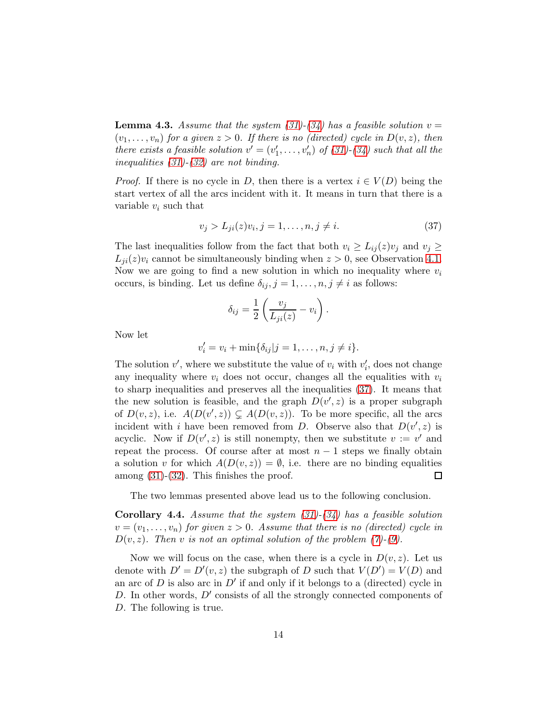<span id="page-13-1"></span>**Lemma 4.3.** Assume that the system  $(31)$ - $(34)$  has a feasible solution  $v =$  $(v_1, \ldots, v_n)$  for a given  $z > 0$ . If there is no (directed) cycle in  $D(v, z)$ , then *there exists a feasible solution*  $v' = (v'_1, \ldots, v'_n)$  of  $(31)$ - $(34)$  such that all the *inequalities [\(31\)](#page-11-2)-[\(32\)](#page-11-2) are not binding.*

*Proof.* If there is no cycle in D, then there is a vertex  $i \in V(D)$  being the start vertex of all the arcs incident with it. It means in turn that there is a variable  $v_i$  such that

<span id="page-13-0"></span>
$$
v_j > L_{ji}(z)v_i, j = 1, ..., n, j \neq i.
$$
 (37)

The last inequalities follow from the fact that both  $v_i \geq L_{ij}(z)v_j$  and  $v_j \geq$  $L_{ii}(z)v_i$  cannot be simultaneously binding when  $z > 0$ , see Observation [4.1.](#page-11-3) Now we are going to find a new solution in which no inequality where  $v_i$ occurs, is binding. Let us define  $\delta_{ij}$ ,  $j = 1, \ldots, n, j \neq i$  as follows:

$$
\delta_{ij} = \frac{1}{2} \left( \frac{v_j}{L_{ji}(z)} - v_i \right).
$$

Now let

$$
v'_i = v_i + \min{\delta_{ij} | j = 1, ..., n, j \neq i}.
$$

The solution  $v'$ , where we substitute the value of  $v_i$  with  $v'_i$ , does not change any inequality where  $v_i$  does not occur, changes all the equalities with  $v_i$ to sharp inequalities and preserves all the inequalities [\(37\)](#page-13-0). It means that the new solution is feasible, and the graph  $D(v', z)$  is a proper subgraph of  $D(v, z)$ , i.e.  $A(D(v', z)) \subsetneq A(D(v, z))$ . To be more specific, all the arcs incident with i have been removed from D. Observe also that  $D(v', z)$  is acyclic. Now if  $D(v', z)$  is still nonempty, then we substitute  $v := v'$  and repeat the process. Of course after at most  $n-1$  steps we finally obtain a solution v for which  $A(D(v, z)) = \emptyset$ , i.e. there are no binding equalities among [\(31\)](#page-11-2)-[\(32\)](#page-11-2). This finishes the proof.  $\Box$ 

The two lemmas presented above lead us to the following conclusion.

<span id="page-13-2"></span>Corollary 4.4. *Assume that the system [\(31\)](#page-11-2)-[\(34\)](#page-11-2) has a feasible solution*  $v = (v_1, \ldots, v_n)$  for given  $z > 0$ . Assume that there is no (directed) cycle in  $D(v, z)$ *. Then* v *is not an optimal solution of the problem [\(7\)](#page-3-0)-[\(9\)](#page-3-0).* 

Now we will focus on the case, when there is a cycle in  $D(v, z)$ . Let us denote with  $D' = D'(v, z)$  the subgraph of D such that  $V(D') = V(D)$  and an arc of  $D$  is also arc in  $D'$  if and only if it belongs to a (directed) cycle in  $D$ . In other words,  $D'$  consists of all the strongly connected components of D. The following is true.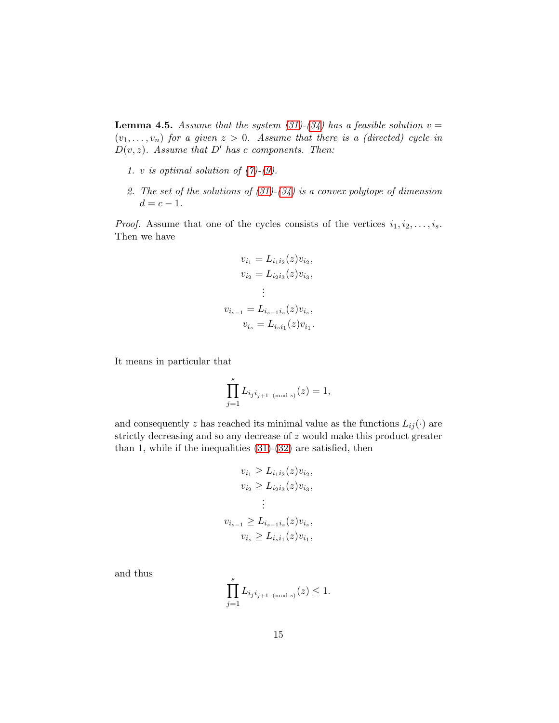<span id="page-14-0"></span>**Lemma 4.5.** Assume that the system  $(31)$ - $(34)$  has a feasible solution  $v =$  $(v_1, \ldots, v_n)$  for a given  $z > 0$ . Assume that there is a (directed) cycle in D(v, z)*. Assume that* D′ *has* c *components. Then:*

- *1.* v *is optimal solution of [\(7\)](#page-3-0)-[\(9\)](#page-3-0).*
- *2. The set of the solutions of [\(31\)](#page-11-2)-[\(34\)](#page-11-2) is a convex polytope of dimension*  $d = c - 1.$

*Proof.* Assume that one of the cycles consists of the vertices  $i_1, i_2, \ldots, i_s$ . Then we have

$$
v_{i_1} = L_{i_1 i_2}(z) v_{i_2},
$$
  
\n
$$
v_{i_2} = L_{i_2 i_3}(z) v_{i_3},
$$
  
\n
$$
\vdots
$$
  
\n
$$
v_{i_{s-1}} = L_{i_{s-1} i_s}(z) v_{i_s},
$$
  
\n
$$
v_{i_s} = L_{i_s i_1}(z) v_{i_1}.
$$

It means in particular that

$$
\prod_{j=1}^{s} L_{i_j i_{j+1 \pmod{s}}} (z) = 1,
$$

and consequently z has reached its minimal value as the functions  $L_{ij}(\cdot)$  are strictly decreasing and so any decrease of z would make this product greater than 1, while if the inequalities  $(31)-(32)$  $(31)-(32)$  are satisfied, then

$$
v_{i_1} \ge L_{i_1 i_2}(z) v_{i_2},
$$
  
\n
$$
v_{i_2} \ge L_{i_2 i_3}(z) v_{i_3},
$$
  
\n
$$
\vdots
$$
  
\n
$$
v_{i_{s-1}} \ge L_{i_{s-1} i_s}(z) v_{i_s},
$$
  
\n
$$
v_{i_s} \ge L_{i_s i_1}(z) v_{i_1},
$$

and thus

$$
\prod_{j=1}^{s} L_{ij} i_{j+1 \pmod{s}}(z) \leq 1.
$$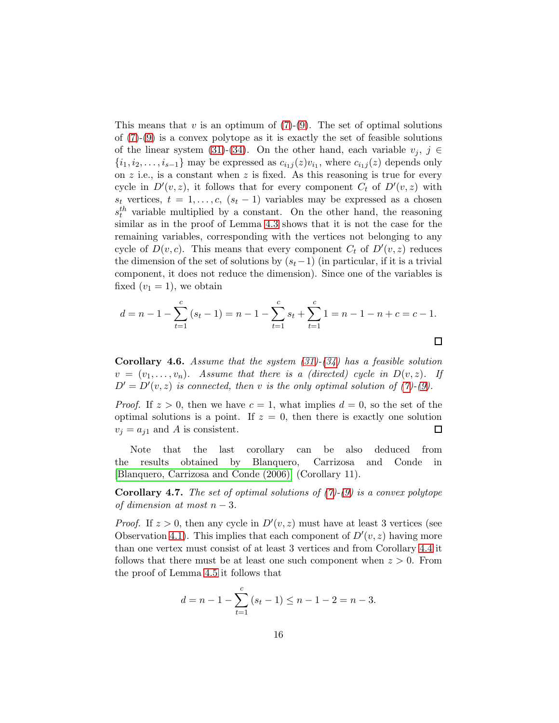This means that  $v$  is an optimum of  $(7)-(9)$  $(7)-(9)$ . The set of optimal solutions of  $(7)-(9)$  $(7)-(9)$  is a convex polytope as it is exactly the set of feasible solutions of the linear system [\(31\)](#page-11-2)-[\(34\)](#page-11-2). On the other hand, each variable  $v_j, j \in$  $\{i_1, i_2, \ldots, i_{s-1}\}\$  may be expressed as  $c_{i_1j}(z)v_{i_1}$ , where  $c_{i_1j}(z)$  depends only on  $z$  i.e., is a constant when  $z$  is fixed. As this reasoning is true for every cycle in  $D'(v, z)$ , it follows that for every component  $C_t$  of  $D'(v, z)$  with  $s_t$  vertices,  $t = 1, \ldots, c, (s_t - 1)$  variables may be expressed as a chosen  $s_t^{th}$  variable multiplied by a constant. On the other hand, the reasoning similar as in the proof of Lemma [4.3](#page-13-1) shows that it is not the case for the remaining variables, corresponding with the vertices not belonging to any cycle of  $D(v, c)$ . This means that every component  $C_t$  of  $D'(v, z)$  reduces the dimension of the set of solutions by  $(s_t-1)$  (in particular, if it is a trivial component, it does not reduce the dimension). Since one of the variables is fixed  $(v_1 = 1)$ , we obtain

$$
d = n - 1 - \sum_{t=1}^{c} (s_t - 1) = n - 1 - \sum_{t=1}^{c} s_t + \sum_{t=1}^{c} 1 = n - 1 - n + c = c - 1.
$$

<span id="page-15-0"></span>Corollary 4.6. *Assume that the system [\(31\)](#page-11-2)-[\(34\)](#page-11-2) has a feasible solution*  $v = (v_1, \ldots, v_n)$ . Assume that there is a *(directed) cycle in*  $D(v, z)$ . If  $D' = D'(v, z)$  *is connected, then v is the only optimal solution of [\(7\)](#page-3-0)-[\(9\)](#page-3-0).* 

*Proof.* If  $z > 0$ , then we have  $c = 1$ , what implies  $d = 0$ , so the set of the optimal solutions is a point. If  $z = 0$ , then there is exactly one solution  $v_j = a_{j1}$  and A is consistent.  $\Box$ 

Note that the last corollary can be also deduced from the results obtained by Blanquero, Carrizosa and Conde in [\[Blanquero, Carrizosa and Conde \(2006\)\]](#page-21-0) (Corollary 11).

Corollary 4.7. *The set of optimal solutions of [\(7\)](#page-3-0)-[\(9\)](#page-3-0) is a convex polytope of dimension at most* n − 3*.*

*Proof.* If  $z > 0$ , then any cycle in  $D'(v, z)$  must have at least 3 vertices (see Observation [4.1\)](#page-11-3). This implies that each component of  $D'(v, z)$  having more than one vertex must consist of at least 3 vertices and from Corollary [4.4](#page-13-2) it follows that there must be at least one such component when  $z > 0$ . From the proof of Lemma [4.5](#page-14-0) it follows that

$$
d = n - 1 - \sum_{t=1}^{c} (s_t - 1) \le n - 1 - 2 = n - 3.
$$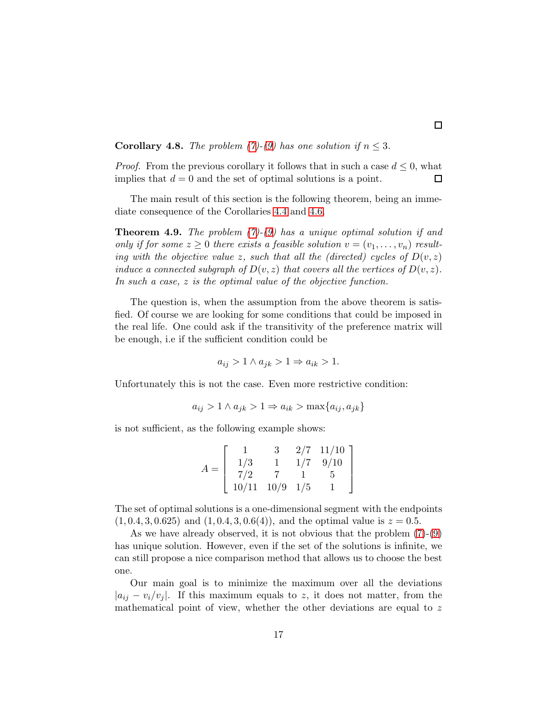#### **Corollary 4.8.** *The problem*  $(7)$ *-* $(9)$  *has one solution if*  $n \leq 3$ *.*

*Proof.* From the previous corollary it follows that in such a case  $d \leq 0$ , what implies that  $d = 0$  and the set of optimal solutions is a point.  $\Box$ 

The main result of this section is the following theorem, being an immediate consequence of the Corollaries [4.4](#page-13-2) and [4.6.](#page-15-0)

<span id="page-16-0"></span>Theorem 4.9. *The problem [\(7\)](#page-3-0)-[\(9\)](#page-3-0) has a unique optimal solution if and only if for some*  $z \geq 0$  *there exists a feasible solution*  $v = (v_1, \ldots, v_n)$  *resulting with the objective value* z, such that all the (directed) cycles of  $D(v, z)$ *induce a connected subgraph of*  $D(v, z)$  *that covers all the vertices of*  $D(v, z)$ *. In such a case,* z *is the optimal value of the objective function.*

The question is, when the assumption from the above theorem is satisfied. Of course we are looking for some conditions that could be imposed in the real life. One could ask if the transitivity of the preference matrix will be enough, i.e if the sufficient condition could be

$$
a_{ij} > 1 \land a_{jk} > 1 \Rightarrow a_{ik} > 1.
$$

Unfortunately this is not the case. Even more restrictive condition:

$$
a_{ij} > 1 \land a_{jk} > 1 \Rightarrow a_{ik} > \max\{a_{ij}, a_{jk}\}\
$$

is not sufficient, as the following example shows:

$$
A = \left[ \begin{array}{rrrr} 1 & 3 & 2/7 & 11/10 \\ 1/3 & 1 & 1/7 & 9/10 \\ 7/2 & 7 & 1 & 5 \\ 10/11 & 10/9 & 1/5 & 1 \end{array} \right]
$$

The set of optimal solutions is a one-dimensional segment with the endpoints  $(1, 0.4, 3, 0.625)$  and  $(1, 0.4, 3, 0.6(4))$ , and the optimal value is  $z = 0.5$ .

As we have already observed, it is not obvious that the problem [\(7\)](#page-3-0)-[\(9\)](#page-3-0) has unique solution. However, even if the set of the solutions is infinite, we can still propose a nice comparison method that allows us to choose the best one.

Our main goal is to minimize the maximum over all the deviations  $|a_{ij} - v_i/v_j|$ . If this maximum equals to z, it does not matter, from the mathematical point of view, whether the other deviations are equal to  $z$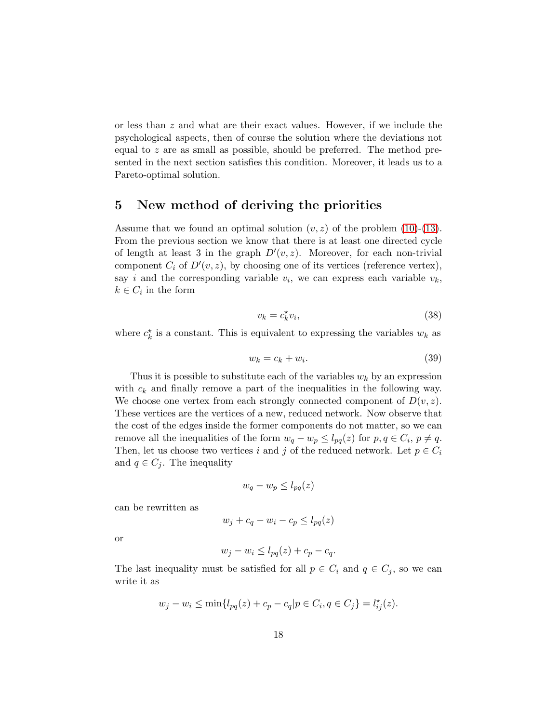or less than z and what are their exact values. However, if we include the psychological aspects, then of course the solution where the deviations not equal to z are as small as possible, should be preferred. The method presented in the next section satisfies this condition. Moreover, it leads us to a Pareto-optimal solution.

# 5 New method of deriving the priorities

Assume that we found an optimal solution  $(v, z)$  of the problem [\(10\)](#page-4-2)-[\(13\)](#page-4-2). From the previous section we know that there is at least one directed cycle of length at least 3 in the graph  $D'(v, z)$ . Moreover, for each non-trivial component  $C_i$  of  $D'(v, z)$ , by choosing one of its vertices (reference vertex), say *i* and the corresponding variable  $v_i$ , we can express each variable  $v_k$ ,  $k \in C_i$  in the form

<span id="page-17-1"></span>
$$
v_k = c_k^* v_i,\tag{38}
$$

where  $c_k^*$  is a constant. This is equivalent to expressing the variables  $w_k$  as

<span id="page-17-0"></span>
$$
w_k = c_k + w_i. \tag{39}
$$

Thus it is possible to substitute each of the variables  $w_k$  by an expression with  $c_k$  and finally remove a part of the inequalities in the following way. We choose one vertex from each strongly connected component of  $D(v, z)$ . These vertices are the vertices of a new, reduced network. Now observe that the cost of the edges inside the former components do not matter, so we can remove all the inequalities of the form  $w_q - w_p \leq l_{pq}(z)$  for  $p, q \in C_i$ ,  $p \neq q$ . Then, let us choose two vertices i and j of the reduced network. Let  $p \in C_i$ and  $q \in C_j$ . The inequality

$$
w_q - w_p \le l_{pq}(z)
$$

can be rewritten as

$$
w_j + c_q - w_i - c_p \le l_{pq}(z)
$$

or

$$
w_j - w_i \le l_{pq}(z) + c_p - c_q.
$$

The last inequality must be satisfied for all  $p \in C_i$  and  $q \in C_j$ , so we can write it as

$$
w_j - w_i \le \min\{l_{pq}(z) + c_p - c_q | p \in C_i, q \in C_j\} = l_{ij}^*(z).
$$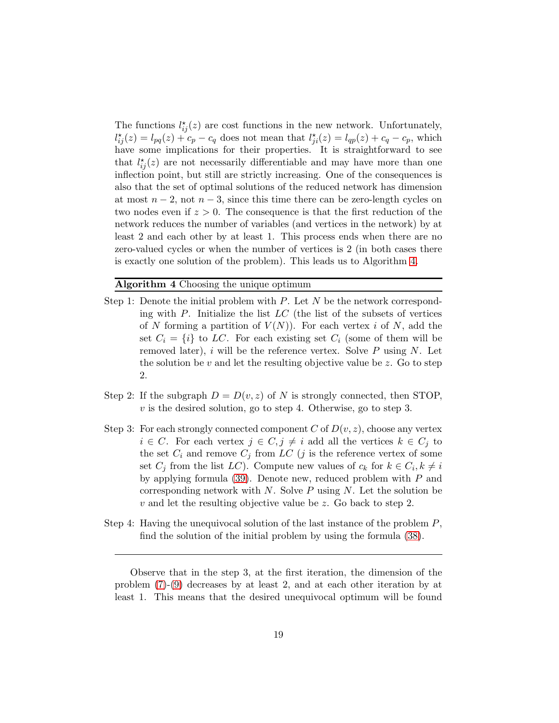The functions  $l_{ij}^{\star}(z)$  are cost functions in the new network. Unfortunately,  $l_{ij}^*(z) = l_{pq}(z) + c_p - c_q$  does not mean that  $l_{ji}^*(z) = l_{qp}(z) + c_q - c_p$ , which have some implications for their properties. It is straightforward to see that  $l_{ij}^{\star}(z)$  are not necessarily differentiable and may have more than one inflection point, but still are strictly increasing. One of the consequences is also that the set of optimal solutions of the reduced network has dimension at most  $n-2$ , not  $n-3$ , since this time there can be zero-length cycles on two nodes even if  $z > 0$ . The consequence is that the first reduction of the network reduces the number of variables (and vertices in the network) by at least 2 and each other by at least 1. This process ends when there are no zero-valued cycles or when the number of vertices is 2 (in both cases there is exactly one solution of the problem). This leads us to Algorithm [4.](#page-18-0)

#### <span id="page-18-0"></span>Algorithm 4 Choosing the unique optimum

- Step 1: Denote the initial problem with  $P$ . Let  $N$  be the network corresponding with  $P$ . Initialize the list  $LC$  (the list of the subsets of vertices of N forming a partition of  $V(N)$ ). For each vertex i of N, add the set  $C_i = \{i\}$  to LC. For each existing set  $C_i$  (some of them will be removed later),  $i$  will be the reference vertex. Solve  $P$  using  $N$ . Let the solution be v and let the resulting objective value be z. Go to step 2.
- Step 2: If the subgraph  $D = D(v, z)$  of N is strongly connected, then STOP,  $v$  is the desired solution, go to step 4. Otherwise, go to step 3.
- Step 3: For each strongly connected component C of  $D(v, z)$ , choose any vertex  $i \in C$ . For each vertex  $j \in C, j \neq i$  add all the vertices  $k \in C_j$  to the set  $C_i$  and remove  $C_j$  from LC (j is the reference vertex of some set  $C_j$  from the list  $LC$ ). Compute new values of  $c_k$  for  $k \in C_i, k \neq i$ by applying formula [\(39\)](#page-17-0). Denote new, reduced problem with P and corresponding network with  $N$ . Solve  $P$  using  $N$ . Let the solution be v and let the resulting objective value be z. Go back to step 2.
- Step 4: Having the unequivocal solution of the last instance of the problem P, find the solution of the initial problem by using the formula [\(38\)](#page-17-1).

Observe that in the step 3, at the first iteration, the dimension of the problem [\(7\)](#page-3-0)-[\(9\)](#page-3-0) decreases by at least 2, and at each other iteration by at least 1. This means that the desired unequivocal optimum will be found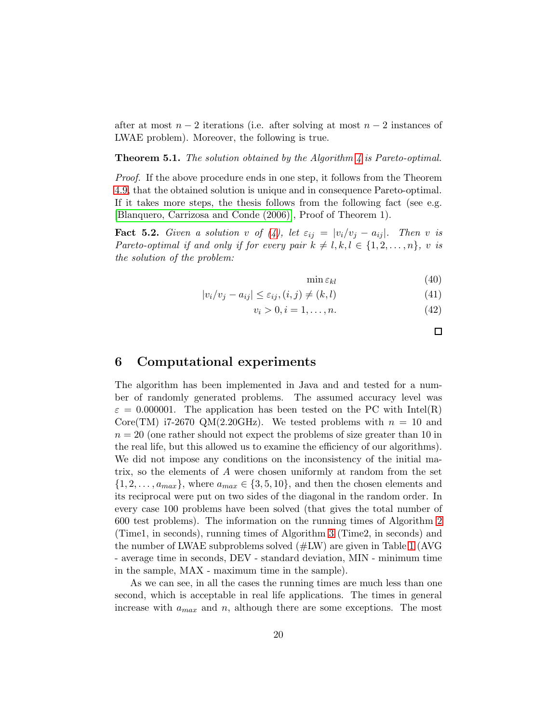after at most  $n-2$  iterations (i.e. after solving at most  $n-2$  instances of LWAE problem). Moreover, the following is true.

Theorem 5.1. *The solution obtained by the Algorithm [4](#page-18-0) is Pareto-optimal.*

*Proof.* If the above procedure ends in one step, it follows from the Theorem [4.9,](#page-16-0) that the obtained solution is unique and in consequence Pareto-optimal. If it takes more steps, the thesis follows from the following fact (see e.g. [\[Blanquero, Carrizosa and Conde \(2006\)\]](#page-21-0), Proof of Theorem 1).

Fact 5.2. *Given a solution* v of  $(4)$ *, let*  $\varepsilon_{ij} = |v_i/v_j - a_{ij}|$ *. Then* v *is Pareto-optimal if and only if for every pair*  $k \neq l, k, l \in \{1, 2, ..., n\}$ *, v is the solution of the problem:*

 $\min \varepsilon_{kl}$  (40)

$$
|v_i/v_j - a_{ij}| \le \varepsilon_{ij}, (i,j) \ne (k,l)
$$
\n(41)

$$
v_i > 0, i = 1, \dots, n. \tag{42}
$$

 $\Box$ 

### 6 Computational experiments

The algorithm has been implemented in Java and and tested for a number of randomly generated problems. The assumed accuracy level was  $\varepsilon = 0.000001$ . The application has been tested on the PC with Intel(R) Core(TM) i7-2670 QM(2.20GHz). We tested problems with  $n = 10$  and  $n = 20$  (one rather should not expect the problems of size greater than 10 in the real life, but this allowed us to examine the efficiency of our algorithms). We did not impose any conditions on the inconsistency of the initial matrix, so the elements of A were chosen uniformly at random from the set  $\{1, 2, \ldots, a_{max}\}\$ , where  $a_{max} \in \{3, 5, 10\}$ , and then the chosen elements and its reciprocal were put on two sides of the diagonal in the random order. In every case 100 problems have been solved (that gives the total number of 600 test problems). The information on the running times of Algorithm [2](#page-10-0) (Time1, in seconds), running times of Algorithm [3](#page-11-1) (Time2, in seconds) and the number of LWAE subproblems solved (#LW) are given in Table [1](#page-20-0) (AVG - average time in seconds, DEV - standard deviation, MIN - minimum time in the sample, MAX - maximum time in the sample).

As we can see, in all the cases the running times are much less than one second, which is acceptable in real life applications. The times in general increase with  $a_{max}$  and n, although there are some exceptions. The most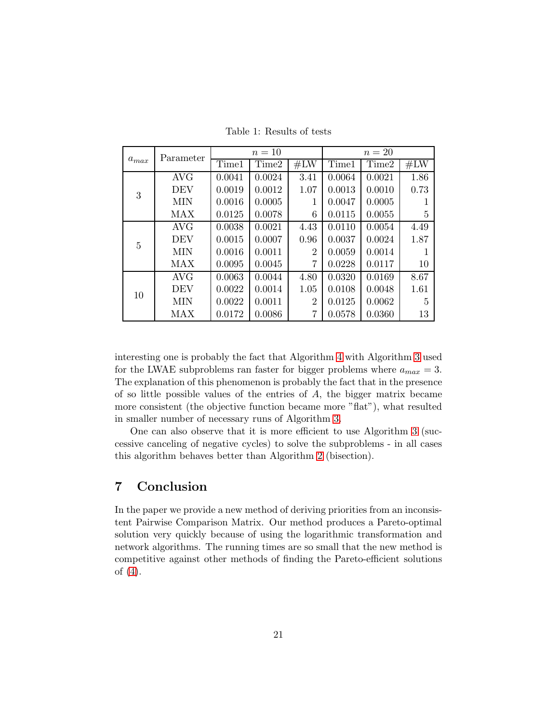| $a_{max}$ | Parameter  | $n=10$ |        |                | $n=20$ |        |      |
|-----------|------------|--------|--------|----------------|--------|--------|------|
|           |            | Time1  | Time2  | #LW            | Time1  | Time2  | #LW  |
| 3         | <b>AVG</b> | 0.0041 | 0.0024 | 3.41           | 0.0064 | 0.0021 | 1.86 |
|           | <b>DEV</b> | 0.0019 | 0.0012 | 1.07           | 0.0013 | 0.0010 | 0.73 |
|           | <b>MIN</b> | 0.0016 | 0.0005 | 1              | 0.0047 | 0.0005 |      |
|           | MAX        | 0.0125 | 0.0078 | 6              | 0.0115 | 0.0055 | 5    |
| 5         | <b>AVG</b> | 0.0038 | 0.0021 | 4.43           | 0.0110 | 0.0054 | 4.49 |
|           | <b>DEV</b> | 0.0015 | 0.0007 | 0.96           | 0.0037 | 0.0024 | 1.87 |
|           | <b>MIN</b> | 0.0016 | 0.0011 | $\overline{2}$ | 0.0059 | 0.0014 |      |
|           | MAX        | 0.0095 | 0.0045 | $\overline{7}$ | 0.0228 | 0.0117 | 10   |
| 10        | <b>AVG</b> | 0.0063 | 0.0044 | 4.80           | 0.0320 | 0.0169 | 8.67 |
|           | <b>DEV</b> | 0.0022 | 0.0014 | 1.05           | 0.0108 | 0.0048 | 1.61 |
|           | <b>MIN</b> | 0.0022 | 0.0011 | $\overline{2}$ | 0.0125 | 0.0062 | 5    |
|           | MAX        | 0.0172 | 0.0086 | 7              | 0.0578 | 0.0360 | 13   |

<span id="page-20-0"></span>Table 1: Results of tests

interesting one is probably the fact that Algorithm [4](#page-18-0) with Algorithm [3](#page-11-1) used for the LWAE subproblems ran faster for bigger problems where  $a_{max} = 3$ . The explanation of this phenomenon is probably the fact that in the presence of so little possible values of the entries of  $A$ , the bigger matrix became more consistent (the objective function became more "flat"), what resulted in smaller number of necessary runs of Algorithm [3.](#page-11-1)

One can also observe that it is more efficient to use Algorithm [3](#page-11-1) (successive canceling of negative cycles) to solve the subproblems - in all cases this algorithm behaves better than Algorithm [2](#page-10-0) (bisection).

# 7 Conclusion

In the paper we provide a new method of deriving priorities from an inconsistent Pairwise Comparison Matrix. Our method produces a Pareto-optimal solution very quickly because of using the logarithmic transformation and network algorithms. The running times are so small that the new method is competitive against other methods of finding the Pareto-efficient solutions of [\(4\)](#page-1-2).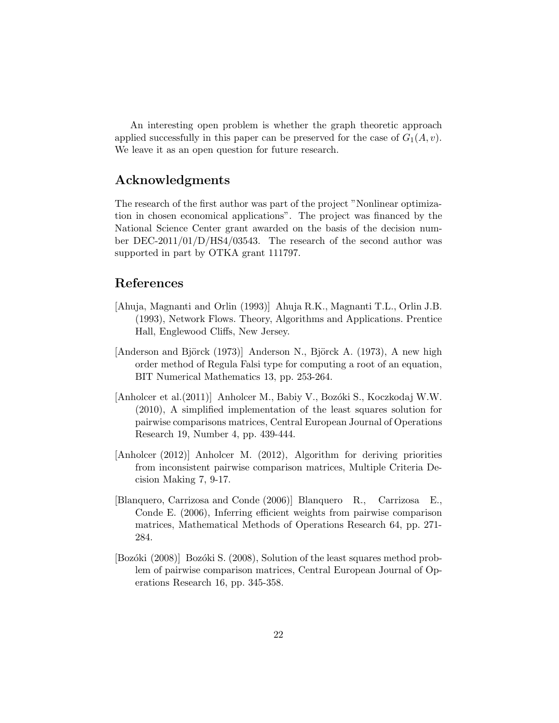An interesting open problem is whether the graph theoretic approach applied successfully in this paper can be preserved for the case of  $G_1(A, v)$ . We leave it as an open question for future research.

# Acknowledgments

The research of the first author was part of the project "Nonlinear optimization in chosen economical applications". The project was financed by the National Science Center grant awarded on the basis of the decision number DEC-2011/01/D/HS4/03543. The research of the second author was supported in part by OTKA grant 111797.

# References

- <span id="page-21-4"></span>[Ahuja, Magnanti and Orlin (1993)] Ahuja R.K., Magnanti T.L., Orlin J.B. (1993), Network Flows. Theory, Algorithms and Applications. Prentice Hall, Englewood Cliffs, New Jersey.
- <span id="page-21-5"></span>[Anderson and Björck  $(1973)$ ] Anderson N., Björck A. (1973), A new high order method of Regula Falsi type for computing a root of an equation, BIT Numerical Mathematics 13, pp. 253-264.
- <span id="page-21-2"></span>[Anholcer et al. (2011)] Anholcer M., Babiy V., Bozóki S., Koczkodaj W.W. (2010), A simplified implementation of the least squares solution for pairwise comparisons matrices, Central European Journal of Operations Research 19, Number 4, pp. 439-444.
- <span id="page-21-3"></span>[Anholcer (2012)] Anholcer M. (2012), Algorithm for deriving priorities from inconsistent pairwise comparison matrices, Multiple Criteria Decision Making 7, 9-17.
- <span id="page-21-0"></span>[Blanquero, Carrizosa and Conde (2006)] Blanquero R., Carrizosa E., Conde E. (2006), Inferring efficient weights from pairwise comparison matrices, Mathematical Methods of Operations Research 64, pp. 271- 284.
- <span id="page-21-1"></span>[Bozóki (2008)] Bozóki S. (2008), Solution of the least squares method problem of pairwise comparison matrices, Central European Journal of Operations Research 16, pp. 345-358.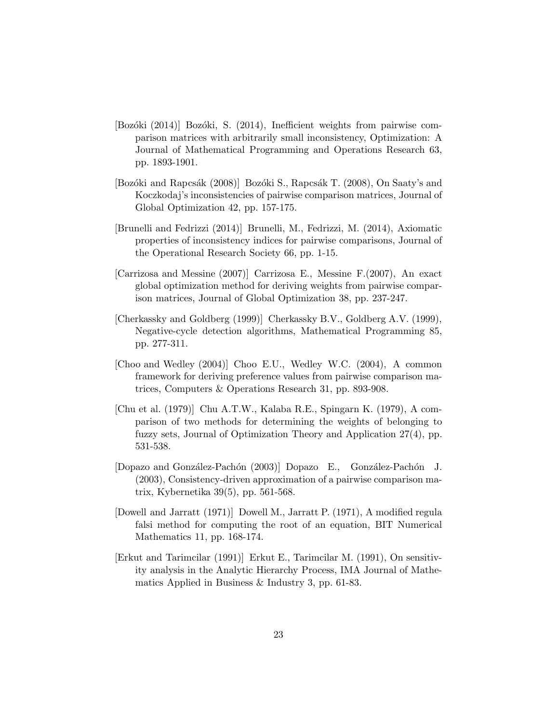- <span id="page-22-7"></span>[Bozóki (2014)] Bozóki, S. (2014), Inefficient weights from pairwise comparison matrices with arbitrarily small inconsistency, Optimization: A Journal of Mathematical Programming and Operations Research 63, pp. 1893-1901.
- <span id="page-22-2"></span>[Bozóki and Rapcsák (2008)] Bozóki S., Rapcsák T. (2008), On Saaty's and Koczkodaj's inconsistencies of pairwise comparison matrices, Journal of Global Optimization 42, pp. 157-175.
- <span id="page-22-3"></span>[Brunelli and Fedrizzi (2014)] Brunelli, M., Fedrizzi, M. (2014), Axiomatic properties of inconsistency indices for pairwise comparisons, Journal of the Operational Research Society 66, pp. 1-15.
- <span id="page-22-6"></span>[Carrizosa and Messine (2007)] Carrizosa E., Messine F.(2007), An exact global optimization method for deriving weights from pairwise comparison matrices, Journal of Global Optimization 38, pp. 237-247.
- <span id="page-22-8"></span>[Cherkassky and Goldberg (1999)] Cherkassky B.V., Goldberg A.V. (1999), Negative-cycle detection algorithms, Mathematical Programming 85, pp. 277-311.
- <span id="page-22-4"></span>[Choo and Wedley (2004)] Choo E.U., Wedley W.C. (2004), A common framework for deriving preference values from pairwise comparison matrices, Computers & Operations Research 31, pp. 893-908.
- <span id="page-22-1"></span>[Chu et al. (1979)] Chu A.T.W., Kalaba R.E., Spingarn K. (1979), A comparison of two methods for determining the weights of belonging to fuzzy sets, Journal of Optimization Theory and Application 27(4), pp. 531-538.
- <span id="page-22-5"></span>[Dopazo and González-Pachón (2003)] Dopazo E., González-Pachón J. (2003), Consistency-driven approximation of a pairwise comparison matrix, Kybernetika 39(5), pp. 561-568.
- <span id="page-22-9"></span>[Dowell and Jarratt (1971)] Dowell M., Jarratt P. (1971), A modified regula falsi method for computing the root of an equation, BIT Numerical Mathematics 11, pp. 168-174.
- <span id="page-22-0"></span>[Erkut and Tarimcilar (1991)] Erkut E., Tarimcilar M. (1991), On sensitivity analysis in the Analytic Hierarchy Process, IMA Journal of Mathematics Applied in Business & Industry 3, pp. 61-83.